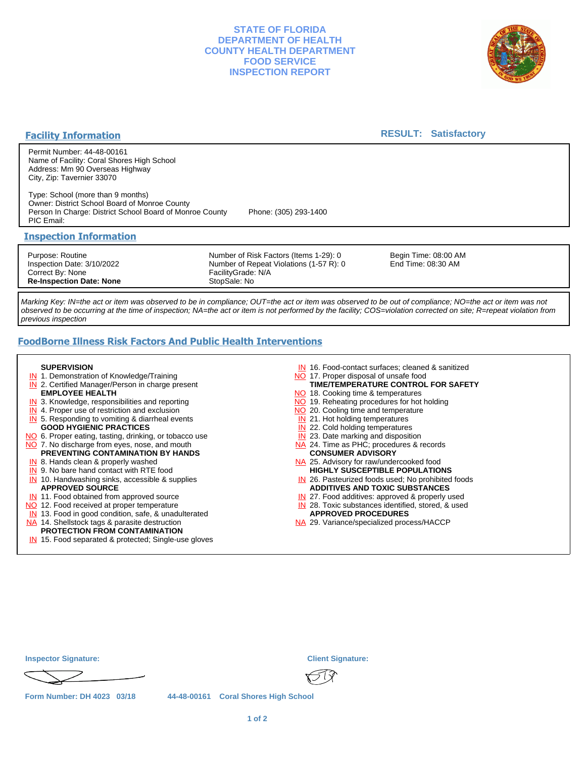## **STATE OF FLORIDA DEPARTMENT OF HEALTH COUNTY HEALTH DEPARTMENT FOOD SERVICE INSPECTION REPORT**



## **Facility Information**

## **RESULT: Satisfactory**

Permit Number: 44-48-00161 Name of Facility: Coral Shores High School Address: Mm 90 Overseas Highway City, Zip: Tavernier 33070

Type: School (more than 9 months) Owner: District School Board of Monroe County Person In Charge: District School Board of Monroe County Phone: (305) 293-1400 PIC Email:

## **Inspection Information**

Purpose: Routine Inspection Date: 3/10/2022 Correct By: None **Re-Inspection Date: None**

Number of Risk Factors (Items 1-29): 0 Number of Repeat Violations (1-57 R): 0 FacilityGrade: N/A StopSale: No

Begin Time: 08:00 AM End Time: 08:30 AM

Marking Key: IN=the act or item was observed to be in compliance; OUT=the act or item was observed to be out of compliance; NO=the act or item was not observed to be occurring at the time of inspection; NA=the act or item is not performed by the facility; COS=violation corrected on site; R=repeat violation from previous inspection

# **FoodBorne Illness Risk Factors And Public Health Interventions**

#### **SUPERVISION**

- **IN** 1. Demonstration of Knowledge/Training
- **IN** 2. Certified Manager/Person in charge present **EMPLOYEE HEALTH**
- **IN** 3. Knowledge, responsibilities and reporting
- **IN** 4. Proper use of restriction and exclusion
- **IN** 5. Responding to vomiting & diarrheal events
- **GOOD HYGIENIC PRACTICES**
- NO 6. Proper eating, tasting, drinking, or tobacco use NO 7. No discharge from eyes, nose, and mouth
- **PREVENTING CONTAMINATION BY HANDS**
- IN 8. Hands clean & properly washed
- **IN** 9. No bare hand contact with RTE food IN 10. Handwashing sinks, accessible & supplies **APPROVED SOURCE**
- **IN** 11. Food obtained from approved source
- NO 12. Food received at proper temperature
- IN 13. Food in good condition, safe, & unadulterated
- NA 14. Shellstock tags & parasite destruction

# **PROTECTION FROM CONTAMINATION**

IN 15. Food separated & protected; Single-use gloves

- IN 16. Food-contact surfaces; cleaned & sanitized
- NO 17. Proper disposal of unsafe food
- NO 18. Cooking time & temperatures **TIME/TEMPERATURE CONTROL FOR SAFETY**
- NO 19. Reheating procedures for hot holding
- NO 20. Cooling time and temperature
- IN 21. Hot holding temperatures
- **IN** 22. Cold holding temperatures
- **IN** 23. Date marking and disposition
- NA 24. Time as PHC; procedures & records **CONSUMER ADVISORY**
- NA 25. Advisory for raw/undercooked food **HIGHLY SUSCEPTIBLE POPULATIONS**
- IN 26. Pasteurized foods used; No prohibited foods **ADDITIVES AND TOXIC SUBSTANCES**
- IN 27. Food additives: approved & properly used
- IN 28. Toxic substances identified, stored, & used **APPROVED PROCEDURES**
- NA 29. Variance/specialized process/HACCP

| <b>Inspector Signature:</b> | <b>Client Signature:</b>             |
|-----------------------------|--------------------------------------|
|                             |                                      |
| Form Number: DH 4023 03/18  | 44-48-00161 Coral Shores High School |